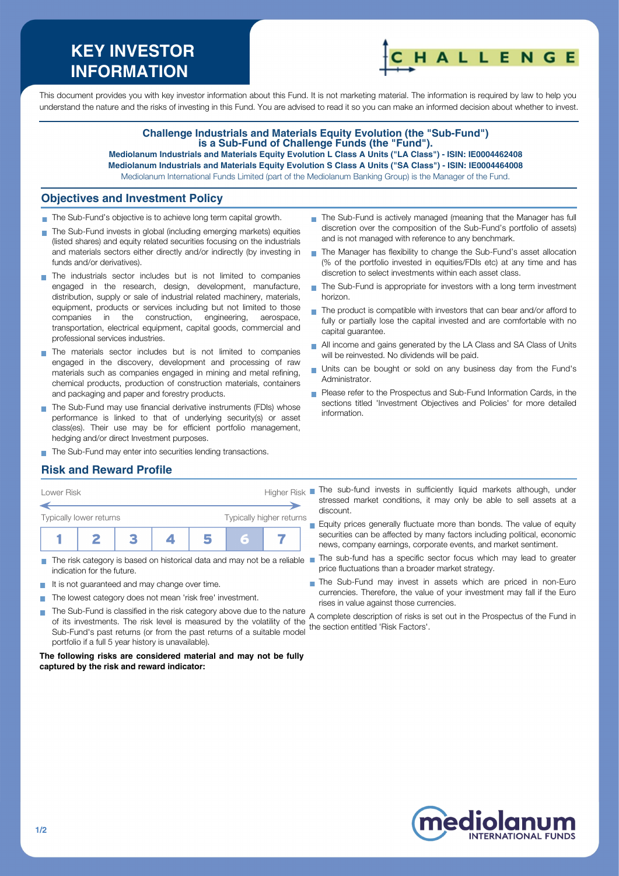# **KEY INVESTOR INFORMATION**



This document provides you with key investor information about this Fund. It is not marketing material. The information is required by law to help you understand the nature and the risks of investing in this Fund. You are advised to read it so you can make an informed decision about whether to invest.

## **Challenge Industrials and Materials Equity Evolution (the "Sub-Fund") is a Sub-Fund of Challenge Funds (the "Fund").**

**Mediolanum Industrials and Materials Equity Evolution L Class A Units ("LA Class") - ISIN: IE0004462408 Mediolanum Industrials and Materials Equity Evolution S Class A Units ("SA Class") - ISIN: IE0004464008**  Mediolanum International Funds Limited (part of the Mediolanum Banking Group) is the Manager of the Fund.

 $\mathbf{r}$ 

#### **Objectives and Investment Policy**

- The Sub-Fund's objective is to achieve long term capital growth.
- The Sub-Fund invests in global (including emerging markets) equities (listed shares) and equity related securities focusing on the industrials and materials sectors either directly and/or indirectly (by investing in funds and/or derivatives).
- The industrials sector includes but is not limited to companies engaged in the research, design, development, manufacture, distribution, supply or sale of industrial related machinery, materials, equipment, products or services including but not limited to those companies in the construction, engineering, aerospace, transportation, electrical equipment, capital goods, commercial and professional services industries.
- The materials sector includes but is not limited to companies engaged in the discovery, development and processing of raw materials such as companies engaged in mining and metal refining, chemical products, production of construction materials, containers and packaging and paper and forestry products.
- The Sub-Fund may use financial derivative instruments (FDIs) whose performance is linked to that of underlying security(s) or asset class(es). Their use may be for efficient portfolio management, hedging and/or direct Investment purposes.
- discretion to select investments within each asset class. The Sub-Fund is appropriate for investors with a long term investment × horizon.  $\blacksquare$  The product is compatible with investors that can bear and/or afford to

and is not managed with reference to any benchmark.

fully or partially lose the capital invested and are comfortable with no capital guarantee.

The Sub-Fund is actively managed (meaning that the Manager has full discretion over the composition of the Sub-Fund's portfolio of assets)

The Manager has flexibility to change the Sub-Fund's asset allocation (% of the portfolio invested in equities/FDIs etc) at any time and has

- All income and gains generated by the LA Class and SA Class of Units will be reinvested. No dividends will be paid.
- Units can be bought or sold on any business day from the Fund's Administrator.
- Please refer to the Prospectus and Sub-Fund Information Cards, in the sections titled 'Investment Objectives and Policies' for more detailed information.

stressed market conditions, it may only be able to sell assets at a

Equity prices generally fluctuate more than bonds. The value of equity securities can be affected by many factors including political, economic news, company earnings, corporate events, and market sentiment.

The Sub-Fund may invest in assets which are priced in non-Euro currencies. Therefore, the value of your investment may fall if the Euro

price fluctuations than a broader market strategy.

The Sub-Fund may enter into securities lending transactions.

## **Risk and Reward Profile**



- The risk category is based on historical data and may not be a reliable The sub-fund has a specific sector focus which may lead to greater Ħ indication for the future.
- It is not guaranteed and may change over time.
- The lowest category does not mean 'risk free' investment.
- rises in value against those currencies. The Sub-Fund is classified in the risk category above due to the nature  $\sim$ A complete description of risks is set out in the Prospectus of the Fund in of its investments. The risk level is measured by the volatility of the theompical decomplete the section entitled 'Risk Factors'. Sub-Fund's past returns (or from the past returns of a suitable model portfolio if a full 5 year history is unavailable).

discount.

#### **The following risks are considered material and may not be fully captured by the risk and reward indicator:**